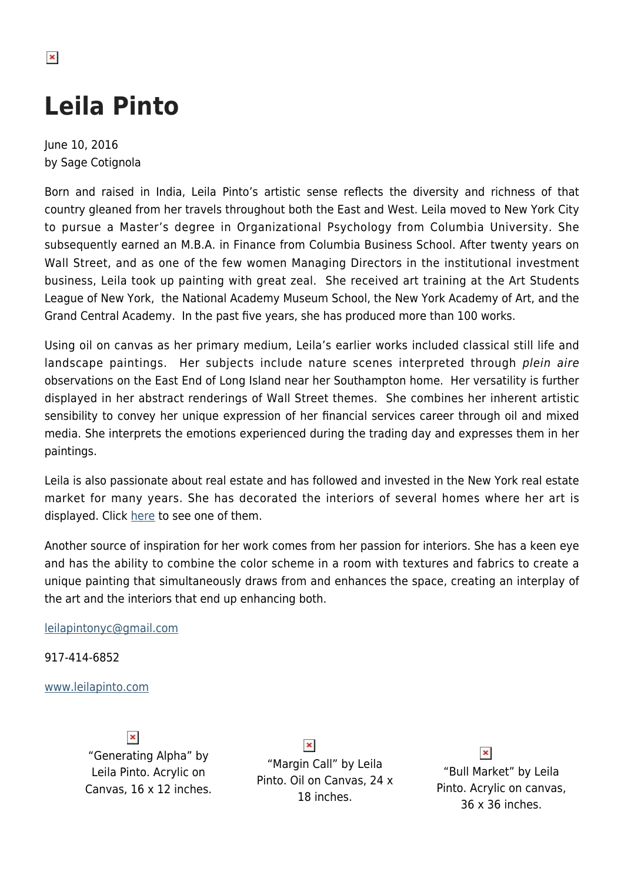# **Leila Pinto**

June 10, 2016 by Sage Cotignola

Born and raised in India, Leila Pinto's artistic sense reflects the diversity and richness of that country gleaned from her travels throughout both the East and West. Leila moved to New York City to pursue a Master's degree in Organizational Psychology from Columbia University. She subsequently earned an M.B.A. in Finance from Columbia Business School. After twenty years on Wall Street, and as one of the few women Managing Directors in the institutional investment business, Leila took up painting with great zeal. She received art training at the Art Students League of New York, the National Academy Museum School, the New York Academy of Art, and the Grand Central Academy. In the past five years, she has produced more than 100 works.

Using oil on canvas as her primary medium, Leila's earlier works included classical still life and landscape paintings. Her subjects include nature scenes interpreted through plein aire observations on the East End of Long Island near her Southampton home. Her versatility is further displayed in her abstract renderings of Wall Street themes. She combines her inherent artistic sensibility to convey her unique expression of her financial services career through oil and mixed media. She interprets the emotions experienced during the trading day and expresses them in her paintings.

Leila is also passionate about real estate and has followed and invested in the New York real estate market for many years. She has decorated the interiors of several homes where her art is displayed. Click [here](http://www.beautiful-places.com/villas/tranquility_woods_villa) to see one of them.

Another source of inspiration for her work comes from her passion for interiors. She has a keen eye and has the ability to combine the color scheme in a room with textures and fabrics to create a unique painting that simultaneously draws from and enhances the space, creating an interplay of the art and the interiors that end up enhancing both.

[leilapintonyc@gmail.com](mailto:leilapintonyc@gmail.com)

917-414-6852

#### [www.leilapinto.com](http://leilapinto.com/)

 $\pmb{\times}$ "Generating Alpha" by Leila Pinto. Acrylic on Canvas, 16 x 12 inches.

 $\pmb{\times}$ "Margin Call" by Leila Pinto. Oil on Canvas, 24 x 18 inches.

### $\pmb{\times}$

"Bull Market" by Leila Pinto. Acrylic on canvas, 36 x 36 inches.